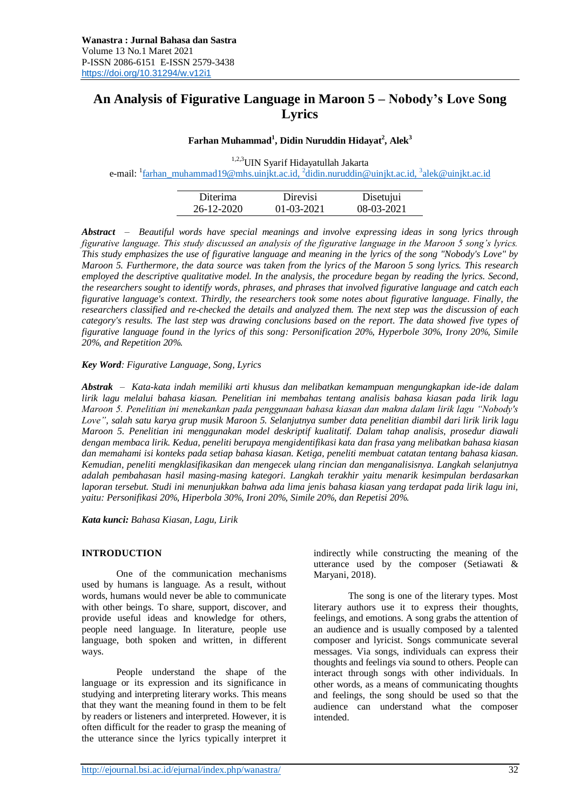# **An Analysis of Figurative Language in Maroon 5 – Nobody's Love Song Lyrics**

# **Farhan Muhammad<sup>1</sup> , Didin Nuruddin Hidayat<sup>2</sup> , Alek<sup>3</sup>**

1,2,3UIN Syarif Hidayatullah Jakarta e-mail: <sup>1</sup>[farhan\\_muhammad19@mhs.uinjkt.ac.id,](mailto:farhan_muhammad19@mhs.uinjkt.ac.id) <sup>2</sup>[didin.nuruddin@uinjkt.ac.id,](mailto:didin.nuruddin@uinjkt.ac.id) <sup>3</sup>alek@uinjkt.ac.id

| Diterima   | Direvisi         | Disetujui  |
|------------|------------------|------------|
| 26-12-2020 | $01 - 03 - 2021$ | 08-03-2021 |

*Abstract – Beautiful words have special meanings and involve expressing ideas in song lyrics through figurative language. This study discussed an analysis of the figurative language in the Maroon 5 song's lyrics. This study emphasizes the use of figurative language and meaning in the lyrics of the song "Nobody's Love" by Maroon 5. Furthermore, the data source was taken from the lyrics of the Maroon 5 song lyrics. This research employed the descriptive qualitative model. In the analysis, the procedure began by reading the lyrics. Second, the researchers sought to identify words, phrases, and phrases that involved figurative language and catch each figurative language's context. Thirdly, the researchers took some notes about figurative language. Finally, the researchers classified and re-checked the details and analyzed them. The next step was the discussion of each category's results. The last step was drawing conclusions based on the report. The data showed five types of figurative language found in the lyrics of this song: Personification 20%, Hyperbole 30%, Irony 20%, Simile 20%, and Repetition 20%.*

*Key Word: Figurative Language, Song, Lyrics*

*Abstrak – Kata-kata indah memiliki arti khusus dan melibatkan kemampuan mengungkapkan ide-ide dalam lirik lagu melalui bahasa kiasan. Penelitian ini membahas tentang analisis bahasa kiasan pada lirik lagu Maroon 5. Penelitian ini menekankan pada penggunaan bahasa kiasan dan makna dalam lirik lagu "Nobody's Love", salah satu karya grup musik Maroon 5. Selanjutnya sumber data penelitian diambil dari lirik lirik lagu Maroon 5. Penelitian ini menggunakan model deskriptif kualitatif. Dalam tahap analisis, prosedur diawali dengan membaca lirik. Kedua, peneliti berupaya mengidentifikasi kata dan frasa yang melibatkan bahasa kiasan dan memahami isi konteks pada setiap bahasa kiasan. Ketiga, peneliti membuat catatan tentang bahasa kiasan. Kemudian, peneliti mengklasifikasikan dan mengecek ulang rincian dan menganalisisnya. Langkah selanjutnya adalah pembahasan hasil masing-masing kategori. Langkah terakhir yaitu menarik kesimpulan berdasarkan laporan tersebut. Studi ini menunjukkan bahwa ada lima jenis bahasa kiasan yang terdapat pada lirik lagu ini, yaitu: Personifikasi 20%, Hiperbola 30%, Ironi 20%, Simile 20%, dan Repetisi 20%.*

*Kata kunci: Bahasa Kiasan, Lagu, Lirik*

#### **INTRODUCTION**

One of the communication mechanisms used by humans is language. As a result, without words, humans would never be able to communicate with other beings. To share, support, discover, and provide useful ideas and knowledge for others, people need language. In literature, people use language, both spoken and written, in different ways.

People understand the shape of the language or its expression and its significance in studying and interpreting literary works. This means that they want the meaning found in them to be felt by readers or listeners and interpreted. However, it is often difficult for the reader to grasp the meaning of the utterance since the lyrics typically interpret it indirectly while constructing the meaning of the utterance used by the composer (Setiawati & Maryani, 2018).

The song is one of the literary types. Most literary authors use it to express their thoughts, feelings, and emotions. A song grabs the attention of an audience and is usually composed by a talented composer and lyricist. Songs communicate several messages. Via songs, individuals can express their thoughts and feelings via sound to others. People can interact through songs with other individuals. In other words, as a means of communicating thoughts and feelings, the song should be used so that the audience can understand what the composer intended.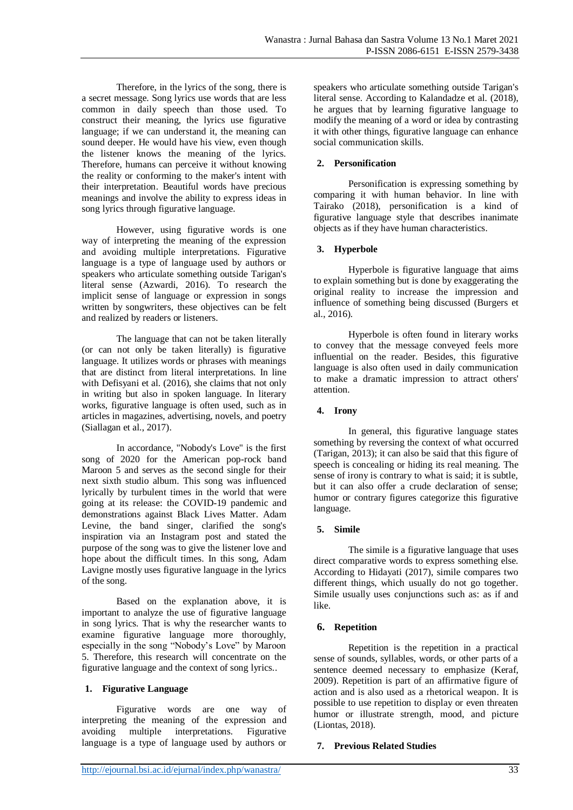Therefore, in the lyrics of the song, there is a secret message. Song lyrics use words that are less common in daily speech than those used. To construct their meaning, the lyrics use figurative language; if we can understand it, the meaning can sound deeper. He would have his view, even though the listener knows the meaning of the lyrics. Therefore, humans can perceive it without knowing the reality or conforming to the maker's intent with their interpretation. Beautiful words have precious meanings and involve the ability to express ideas in song lyrics through figurative language.

However, using figurative words is one way of interpreting the meaning of the expression and avoiding multiple interpretations. Figurative language is a type of language used by authors or speakers who articulate something outside Tarigan's literal sense (Azwardi, 2016). To research the implicit sense of language or expression in songs written by songwriters, these objectives can be felt and realized by readers or listeners.

The language that can not be taken literally (or can not only be taken literally) is figurative language. It utilizes words or phrases with meanings that are distinct from literal interpretations. In line with Defisyani et al. (2016), she claims that not only in writing but also in spoken language. In literary works, figurative language is often used, such as in articles in magazines, advertising, novels, and poetry (Siallagan et al., 2017).

In accordance, "Nobody's Love" is the first song of 2020 for the American pop-rock band Maroon 5 and serves as the second single for their next sixth studio album. This song was influenced lyrically by turbulent times in the world that were going at its release: the COVID-19 pandemic and demonstrations against Black Lives Matter. Adam Levine, the band singer, clarified the song's inspiration via an Instagram post and stated the purpose of the song was to give the listener love and hope about the difficult times. In this song, Adam Lavigne mostly uses figurative language in the lyrics of the song.

Based on the explanation above, it is important to analyze the use of figurative language in song lyrics. That is why the researcher wants to examine figurative language more thoroughly, especially in the song "Nobody's Love" by Maroon 5. Therefore, this research will concentrate on the figurative language and the context of song lyrics..

# **1. Figurative Language**

Figurative words are one way of interpreting the meaning of the expression and avoiding multiple interpretations. Figurative language is a type of language used by authors or speakers who articulate something outside Tarigan's literal sense. According to Kalandadze et al. (2018), he argues that by learning figurative language to modify the meaning of a word or idea by contrasting it with other things, figurative language can enhance social communication skills.

# **2. Personification**

Personification is expressing something by comparing it with human behavior. In line with Tairako (2018), personification is a kind of figurative language style that describes inanimate objects as if they have human characteristics.

# **3. Hyperbole**

Hyperbole is figurative language that aims to explain something but is done by exaggerating the original reality to increase the impression and influence of something being discussed (Burgers et al., 2016).

Hyperbole is often found in literary works to convey that the message conveyed feels more influential on the reader. Besides, this figurative language is also often used in daily communication to make a dramatic impression to attract others' attention.

# **4. Irony**

In general, this figurative language states something by reversing the context of what occurred (Tarigan, 2013); it can also be said that this figure of speech is concealing or hiding its real meaning. The sense of irony is contrary to what is said; it is subtle, but it can also offer a crude declaration of sense; humor or contrary figures categorize this figurative language.

# **5. Simile**

The simile is a figurative language that uses direct comparative words to express something else. According to Hidayati (2017), simile compares two different things, which usually do not go together. Simile usually uses conjunctions such as: as if and like.

# **6. Repetition**

Repetition is the repetition in a practical sense of sounds, syllables, words, or other parts of a sentence deemed necessary to emphasize (Keraf, 2009). Repetition is part of an affirmative figure of action and is also used as a rhetorical weapon. It is possible to use repetition to display or even threaten humor or illustrate strength, mood, and picture (Liontas, 2018).

# **7. Previous Related Studies**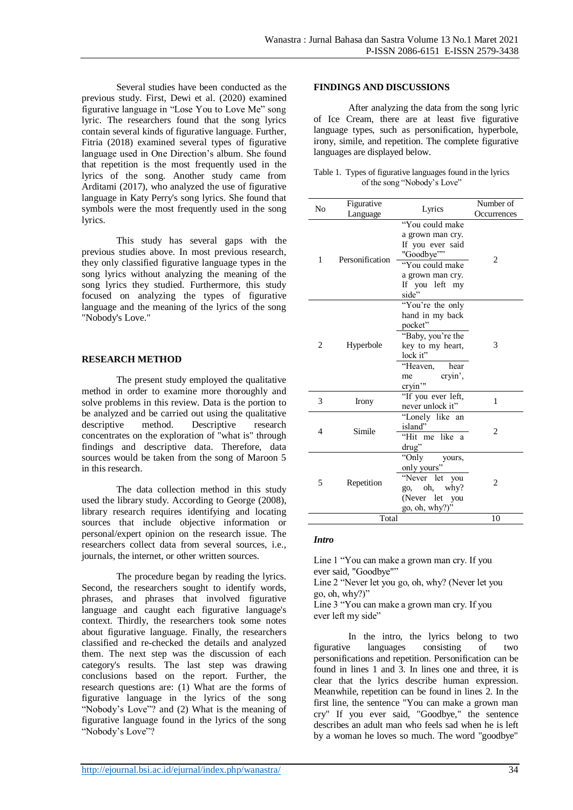Several studies have been conducted as the previous study. First, Dewi et al. (2020) examined figurative language in "Lose You to Love Me" song lyric. The researchers found that the song lyrics contain several kinds of figurative language. Further, Fitria (2018) examined several types of figurative language used in One Direction's album. She found that repetition is the most frequently used in the lyrics of the song. Another study came from Arditami (2017), who analyzed the use of figurative language in Katy Perry's song lyrics. She found that symbols were the most frequently used in the song lyrics.

This study has several gaps with the previous studies above. In most previous research, they only classified figurative language types in the song lyrics without analyzing the meaning of the song lyrics they studied. Furthermore, this study focused on analyzing the types of figurative language and the meaning of the lyrics of the song "Nobody's Love."

#### **RESEARCH METHOD**

The present study employed the qualitative method in order to examine more thoroughly and solve problems in this review. Data is the portion to be analyzed and be carried out using the qualitative descriptive method. Descriptive research concentrates on the exploration of "what is" through findings and descriptive data. Therefore, data sources would be taken from the song of Maroon 5 in this research.

The data collection method in this study used the library study. According to George (2008), library research requires identifying and locating sources that include objective information or personal/expert opinion on the research issue. The researchers collect data from several sources, i.e., journals, the internet, or other written sources.

The procedure began by reading the lyrics. Second, the researchers sought to identify words, phrases, and phrases that involved figurative language and caught each figurative language's context. Thirdly, the researchers took some notes about figurative language. Finally, the researchers classified and re-checked the details and analyzed them. The next step was the discussion of each category's results. The last step was drawing conclusions based on the report. Further, the research questions are: (1) What are the forms of figurative language in the lyrics of the song "Nobody's Love"? and (2) What is the meaning of figurative language found in the lyrics of the song "Nobody's Love"?

#### **FINDINGS AND DISCUSSIONS**

After analyzing the data from the song lyric of Ice Cream, there are at least five figurative language types, such as personification, hyperbole, irony, simile, and repetition. The complete figurative languages are displayed below.

| Table 1. Types of figurative languages found in the lyrics |
|------------------------------------------------------------|
| of the song "Nobody's Love"                                |

| N <sub>0</sub> | Figurative<br>Language | Lyrics                                                                                                                                              | Number of<br>Occurrences |
|----------------|------------------------|-----------------------------------------------------------------------------------------------------------------------------------------------------|--------------------------|
| 1              | Personification        | "You could make<br>a grown man cry.<br>If you ever said<br>"Goodbye""<br>"You could make<br>a grown man cry.<br>If you left my<br>side"             | 2                        |
| 2              | Hyperbole              | "You're the only<br>hand in my back<br>pocket"<br>"Baby, you're the<br>key to my heart,<br>lock it"<br>"Heaven,<br>hear<br>cryin',<br>me<br>cryin'" | 3                        |
| 3              | Irony                  | "If you ever left,<br>never unlock it"                                                                                                              | 1                        |
| 4              | Simile                 | "Lonely like an<br>island"<br>"Hit me like a<br>drug"                                                                                               | 2                        |
| 5              | Repetition             | "Only<br>yours,<br>only yours"<br>"Never let<br>you<br>oh,<br>whv?<br>go,<br>(Never let<br>you<br>go, oh, why?)"                                    | $\overline{c}$           |
| Total          |                        |                                                                                                                                                     | 10                       |

#### *Intro*

Line 1 "You can make a grown man cry. If you ever said, "Goodbye"" Line 2 "Never let you go, oh, why? (Never let you go, oh, why?)"

Line 3 "You can make a grown man cry. If you ever left my side"

In the intro, the lyrics belong to two figurative languages consisting of two personifications and repetition. Personification can be found in lines 1 and 3. In lines one and three, it is clear that the lyrics describe human expression. Meanwhile, repetition can be found in lines 2. In the first line, the sentence "You can make a grown man cry" If you ever said, "Goodbye," the sentence describes an adult man who feels sad when he is left by a woman he loves so much. The word "goodbye"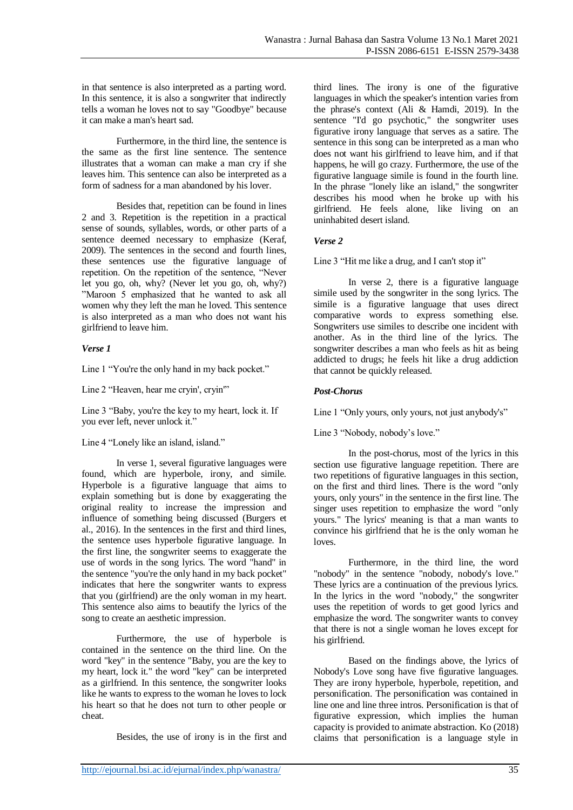in that sentence is also interpreted as a parting word. In this sentence, it is also a songwriter that indirectly tells a woman he loves not to say "Goodbye" because it can make a man's heart sad.

Furthermore, in the third line, the sentence is the same as the first line sentence. The sentence illustrates that a woman can make a man cry if she leaves him. This sentence can also be interpreted as a form of sadness for a man abandoned by his lover.

Besides that, repetition can be found in lines 2 and 3. Repetition is the repetition in a practical sense of sounds, syllables, words, or other parts of a sentence deemed necessary to emphasize (Keraf, 2009). The sentences in the second and fourth lines, these sentences use the figurative language of repetition. On the repetition of the sentence, "Never let you go, oh, why? (Never let you go, oh, why?) "Maroon 5 emphasized that he wanted to ask all women why they left the man he loved. This sentence is also interpreted as a man who does not want his girlfriend to leave him.

# *Verse 1*

Line 1 "You're the only hand in my back pocket."

Line 2 "Heaven, hear me cryin', cryin'"

Line 3 "Baby, you're the key to my heart, lock it. If you ever left, never unlock it."

Line 4 "Lonely like an island, island."

In verse 1, several figurative languages were found, which are hyperbole, irony, and simile. Hyperbole is a figurative language that aims to explain something but is done by exaggerating the original reality to increase the impression and influence of something being discussed (Burgers et al., 2016). In the sentences in the first and third lines, the sentence uses hyperbole figurative language. In the first line, the songwriter seems to exaggerate the use of words in the song lyrics. The word "hand" in the sentence "you're the only hand in my back pocket" indicates that here the songwriter wants to express that you (girlfriend) are the only woman in my heart. This sentence also aims to beautify the lyrics of the song to create an aesthetic impression.

Furthermore, the use of hyperbole is contained in the sentence on the third line. On the word "key" in the sentence "Baby, you are the key to my heart, lock it." the word "key" can be interpreted as a girlfriend. In this sentence, the songwriter looks like he wants to express to the woman he loves to lock his heart so that he does not turn to other people or cheat.

Besides, the use of irony is in the first and

third lines. The irony is one of the figurative languages in which the speaker's intention varies from the phrase's context (Ali & Hamdi, 2019). In the sentence "I'd go psychotic," the songwriter uses figurative irony language that serves as a satire. The sentence in this song can be interpreted as a man who does not want his girlfriend to leave him, and if that happens, he will go crazy. Furthermore, the use of the figurative language simile is found in the fourth line. In the phrase "lonely like an island," the songwriter describes his mood when he broke up with his girlfriend. He feels alone, like living on an uninhabited desert island.

#### *Verse 2*

Line 3 "Hit me like a drug, and I can't stop it"

In verse 2, there is a figurative language simile used by the songwriter in the song lyrics. The simile is a figurative language that uses direct comparative words to express something else. Songwriters use similes to describe one incident with another. As in the third line of the lyrics. The songwriter describes a man who feels as hit as being addicted to drugs; he feels hit like a drug addiction that cannot be quickly released.

#### *Post-Chorus*

Line 1 "Only yours, only yours, not just anybody's"

Line 3 "Nobody, nobody's love."

In the post-chorus, most of the lyrics in this section use figurative language repetition. There are two repetitions of figurative languages in this section, on the first and third lines. There is the word "only yours, only yours" in the sentence in the first line. The singer uses repetition to emphasize the word "only yours." The lyrics' meaning is that a man wants to convince his girlfriend that he is the only woman he loves.

Furthermore, in the third line, the word "nobody" in the sentence "nobody, nobody's love." These lyrics are a continuation of the previous lyrics. In the lyrics in the word "nobody," the songwriter uses the repetition of words to get good lyrics and emphasize the word. The songwriter wants to convey that there is not a single woman he loves except for his girlfriend.

Based on the findings above, the lyrics of Nobody's Love song have five figurative languages. They are irony hyperbole, hyperbole, repetition, and personification. The personification was contained in line one and line three intros. Personification is that of figurative expression, which implies the human capacity is provided to animate abstraction. Ko (2018) claims that personification is a language style in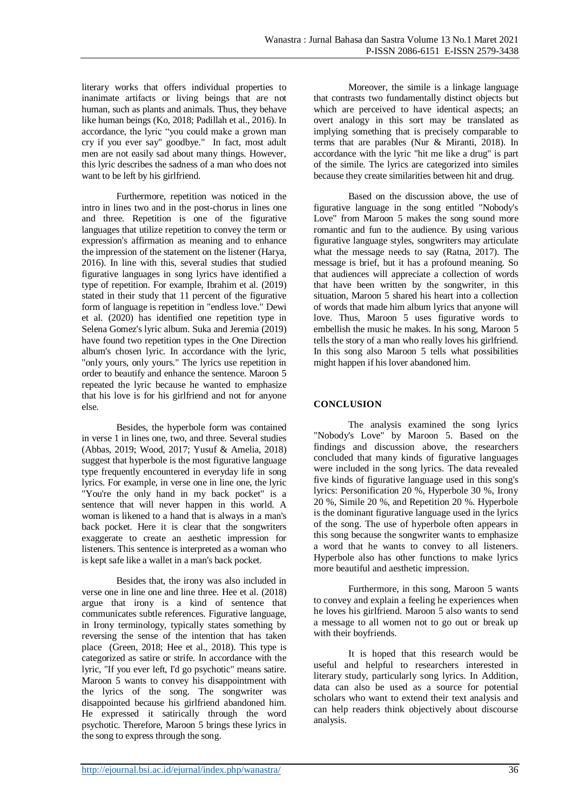literary works that offers individual properties to inanimate artifacts or living beings that are not human, such as plants and animals. Thus, they behave like human beings (Ko, 2018; Padillah et al., 2016). In accordance, the lyric "you could make a grown man cry if you ever say" goodbye." In fact, most adult men are not easily sad about many things. However, this lyric describes the sadness of a man who does not want to be left by his girlfriend.

Furthermore, repetition was noticed in the intro in lines two and in the post-chorus in lines one and three. Repetition is one of the figurative languages that utilize repetition to convey the term or expression's affirmation as meaning and to enhance the impression of the statement on the listener (Harya, 2016). In line with this, several studies that studied figurative languages in song lyrics have identified a type of repetition. For example, Ibrahim et al. (2019) stated in their study that 11 percent of the figurative form of language is repetition in "endless love." Dewi et al. (2020) has identified one repetition type in Selena Gomez's lyric album. Suka and Jeremia (2019) have found two repetition types in the One Direction album's chosen lyric. In accordance with the lyric, "only yours, only yours." The lyrics use repetition in order to beautify and enhance the sentence. Maroon 5 repeated the lyric because he wanted to emphasize that his love is for his girlfriend and not for anyone else.

Besides, the hyperbole form was contained in verse 1 in lines one, two, and three. Several studies (Abbas, 2019; Wood, 2017; Yusuf & Amelia, 2018) suggest that hyperbole is the most figurative language type frequently encountered in everyday life in song lyrics. For example, in verse one in line one, the lyric "You're the only hand in my back pocket" is a sentence that will never happen in this world. A woman is likened to a hand that is always in a man's back pocket. Here it is clear that the songwriters exaggerate to create an aesthetic impression for listeners. This sentence is interpreted as a woman who is kept safe like a wallet in a man's back pocket.

Besides that, the irony was also included in verse one in line one and line three. Hee et al. (2018) argue that irony is a kind of sentence that communicates subtle references. Figurative language, in Irony terminology, typically states something by reversing the sense of the intention that has taken place (Green, 2018; Hee et al., 2018). This type is categorized as satire or strife. In accordance with the lyric, "If you ever left, I'd go psychotic" means satire. Maroon 5 wants to convey his disappointment with the lyrics of the song. The songwriter was disappointed because his girlfriend abandoned him. He expressed it satirically through the word psychotic. Therefore, Maroon 5 brings these lyrics in the song to express through the song.

Moreover, the simile is a linkage language that contrasts two fundamentally distinct objects but which are perceived to have identical aspects; an overt analogy in this sort may be translated as implying something that is precisely comparable to terms that are parables (Nur & Miranti, 2018). In accordance with the lyric "hit me like a drug" is part of the simile. The lyrics are categorized into similes because they create similarities between hit and drug.

Based on the discussion above, the use of figurative language in the song entitled "Nobody's Love" from Maroon 5 makes the song sound more romantic and fun to the audience. By using various figurative language styles, songwriters may articulate what the message needs to say (Ratna, 2017). The message is brief, but it has a profound meaning. So that audiences will appreciate a collection of words that have been written by the songwriter, in this situation, Maroon 5 shared his heart into a collection of words that made him album lyrics that anyone will love. Thus, Maroon 5 uses figurative words to embellish the music he makes. In his song, Maroon 5 tells the story of a man who really loves his girlfriend. In this song also Maroon 5 tells what possibilities might happen if his lover abandoned him.

#### **CONCLUSION**

The analysis examined the song lyrics "Nobody's Love" by Maroon 5. Based on the findings and discussion above, the researchers concluded that many kinds of figurative languages were included in the song lyrics. The data revealed five kinds of figurative language used in this song's lyrics: Personification 20 %, Hyperbole 30 %, Irony 20 %, Simile 20 %, and Repetition 20 %. Hyperbole is the dominant figurative language used in the lyrics of the song. The use of hyperbole often appears in this song because the songwriter wants to emphasize a word that he wants to convey to all listeners. Hyperbole also has other functions to make lyrics more beautiful and aesthetic impression.

Furthermore, in this song, Maroon 5 wants to convey and explain a feeling he experiences when he loves his girlfriend. Maroon 5 also wants to send a message to all women not to go out or break up with their boyfriends.

It is hoped that this research would be useful and helpful to researchers interested in literary study, particularly song lyrics. In Addition, data can also be used as a source for potential scholars who want to extend their text analysis and can help readers think objectively about discourse analysis.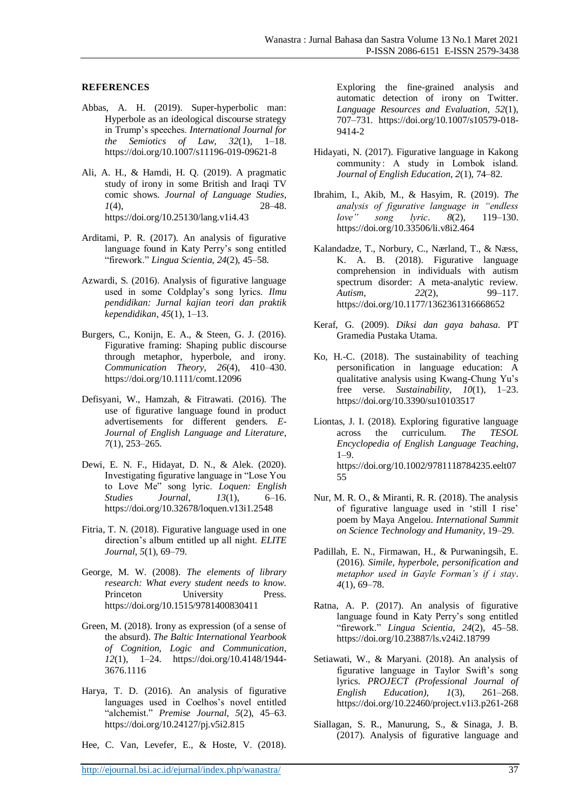#### **REFERENCES**

- Abbas, A. H. (2019). Super-hyperbolic man: Hyperbole as an ideological discourse strategy in Trump's speeches. *International Journal for the Semiotics of Law*, *32*(1), 1–18. https://doi.org/10.1007/s11196-019-09621-8
- Ali, A. H., & Hamdi, H. Q. (2019). A pragmatic study of irony in some British and Iraqi TV comic shows. *Journal of Language Studies*, *1*(4), 28–48. https://doi.org/10.25130/lang.v1i4.43
- Arditami, P. R. (2017). An analysis of figurative language found in Katy Perry's song entitled "firework." *Lingua Scientia*, *24*(2), 45–58.
- Azwardi, S. (2016). Analysis of figurative language used in some Coldplay's song lyrics. *Ilmu pendidikan: Jurnal kajian teori dan praktik kependidikan*, *45*(1), 1–13.
- Burgers, C., Konijn, E. A., & Steen, G. J. (2016). Figurative framing: Shaping public discourse through metaphor, hyperbole, and irony. *Communication Theory*, *26*(4), 410–430. https://doi.org/10.1111/comt.12096
- Defisyani, W., Hamzah, & Fitrawati. (2016). The use of figurative language found in product advertisements for different genders. *E-Journal of English Language and Literature*, *7*(1), 253–265.
- Dewi, E. N. F., Hidayat, D. N., & Alek. (2020). Investigating figurative language in "Lose You to Love Me" song lyric. *Loquen: English Studies Journal*, *13*(1), 6–16. https://doi.org/10.32678/loquen.v13i1.2548
- Fitria, T. N. (2018). Figurative language used in one direction's album entitled up all night. *ELITE Journal*, *5*(1), 69–79.
- George, M. W. (2008). *The elements of library research: What every student needs to know*. Princeton University Press. https://doi.org/10.1515/9781400830411
- Green, M. (2018). Irony as expression (of a sense of the absurd). *The Baltic International Yearbook of Cognition, Logic and Communication*, *12*(1), 1–24. https://doi.org/10.4148/1944- 3676.1116
- Harya, T. D. (2016). An analysis of figurative languages used in Coelhos's novel entitled "alchemist." *Premise Journal*, *5*(2), 45–63. https://doi.org/10.24127/pj.v5i2.815
- Hee, C. Van, Levefer, E., & Hoste, V. (2018).

Exploring the fine-grained analysis and automatic detection of irony on Twitter. *Language Resources and Evaluation*, *52*(1), 707–731. https://doi.org/10.1007/s10579-018- 9414-2

- Hidayati, N. (2017). Figurative language in Kakong community : A study in Lombok island. *Journal of English Education*, *2*(1), 74–82.
- Ibrahim, I., Akib, M., & Hasyim, R. (2019). *The analysis of figurative language in "endless love" song lyric*. *8*(2), 119–130. https://doi.org/10.33506/li.v8i2.464
- Kalandadze, T., Norbury, C., Nærland, T., & Næss, K. A. B. (2018). Figurative language comprehension in individuals with autism spectrum disorder: A meta-analytic review. *Autism*, *22*(2), 99–117. https://doi.org/10.1177/1362361316668652
- Keraf, G. (2009). *Diksi dan gaya bahasa*. PT Gramedia Pustaka Utama.
- Ko, H.-C. (2018). The sustainability of teaching personification in language education: A qualitative analysis using Kwang-Chung Yu's free verse. *Sustainability*, *10*(1), 1–23. https://doi.org/10.3390/su10103517
- Liontas, J. I. (2018). Exploring figurative language across the curriculum. *The TESOL Encyclopedia of English Language Teaching*,  $1 - Q$ https://doi.org/10.1002/9781118784235.eelt07 55
- Nur, M. R. O., & Miranti, R. R. (2018). The analysis of figurative language used in 'still I rise' poem by Maya Angelou. *International Summit on Science Technology and Humanity*, 19–29.
- Padillah, E. N., Firmawan, H., & Purwaningsih, E. (2016). *Simile, hyperbole, personification and metaphor used in Gayle Forman's if i stay*. *4*(1), 69–78.
- Ratna, A. P. (2017). An analysis of figurative language found in Katy Perry's song entitled "firework." *Lingua Scientia*, *24*(2), 45–58. https://doi.org/10.23887/ls.v24i2.18799
- Setiawati, W., & Maryani. (2018). An analysis of figurative language in Taylor Swift's song lyrics. *PROJECT (Professional Journal of English Education)*, *1*(3), 261–268. https://doi.org/10.22460/project.v1i3.p261-268
- Siallagan, S. R., Manurung, S., & Sinaga, J. B. (2017). Analysis of figurative language and